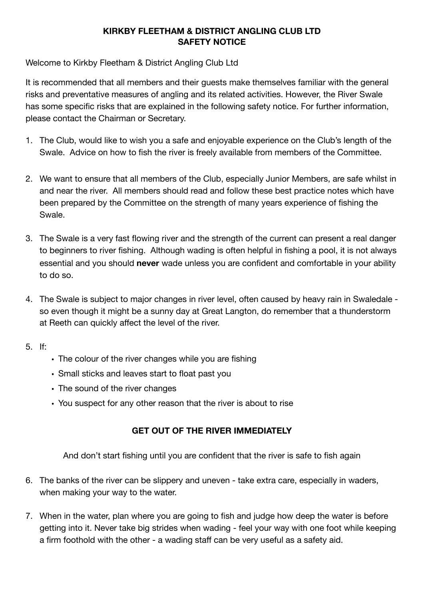## **KIRKBY FLEETHAM & DISTRICT ANGLING CLUB LTD SAFETY NOTICE**

## Welcome to Kirkby Fleetham & District Angling Club Ltd

It is recommended that all members and their guests make themselves familiar with the general risks and preventative measures of angling and its related activities. However, the River Swale has some specific risks that are explained in the following safety notice. For further information, please contact the Chairman or Secretary.

- 1. The Club, would like to wish you a safe and enjoyable experience on the Club's length of the Swale. Advice on how to fish the river is freely available from members of the Committee.
- 2. We want to ensure that all members of the Club, especially Junior Members, are safe whilst in and near the river. All members should read and follow these best practice notes which have been prepared by the Committee on the strength of many years experience of fishing the Swale.
- 3. The Swale is a very fast flowing river and the strength of the current can present a real danger to beginners to river fishing. Although wading is often helpful in fishing a pool, it is not always essential and you should **never** wade unless you are confident and comfortable in your ability to do so.
- 4. The Swale is subject to major changes in river level, often caused by heavy rain in Swaledale so even though it might be a sunny day at Great Langton, do remember that a thunderstorm at Reeth can quickly affect the level of the river.
- 5. If:
- The colour of the river changes while you are fishing
- Small sticks and leaves start to float past you
- The sound of the river changes
- You suspect for any other reason that the river is about to rise

## **GET OUT OF THE RIVER IMMEDIATELY**

And don't start fishing until you are confident that the river is safe to fish again

- 6. The banks of the river can be slippery and uneven take extra care, especially in waders, when making your way to the water.
- 7. When in the water, plan where you are going to fish and judge how deep the water is before getting into it. Never take big strides when wading - feel your way with one foot while keeping a firm foothold with the other - a wading staff can be very useful as a safety aid.